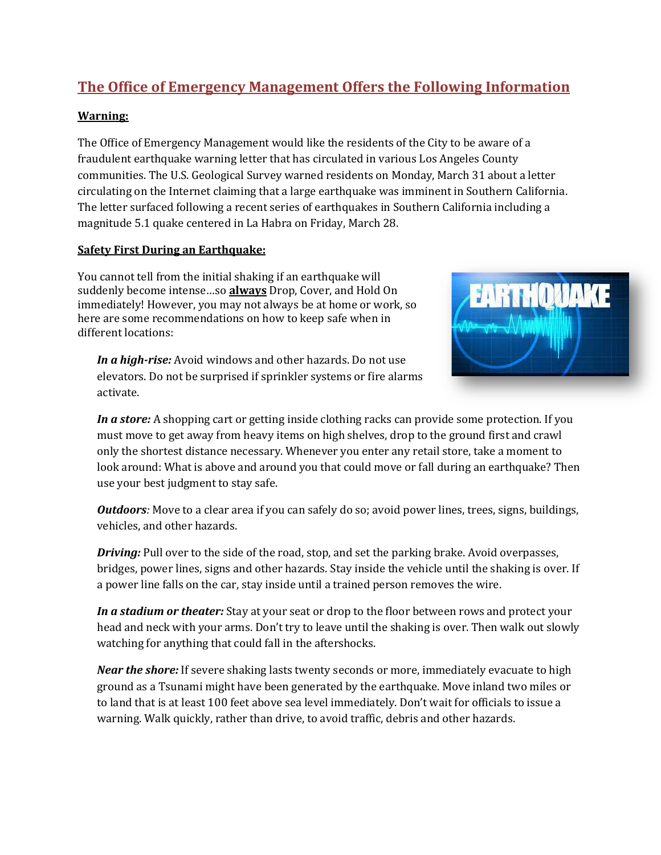# **The Office of Emergency Management Offers the Following Information**

#### **Warning:**

The Office of Emergency Management would like the residents of the City to be aware of a fraudulent earthquake warning letter that has circulated in various Los Angeles County communities. The U.S. Geological Survey warned residents on Monday, March 31 about a letter circulating on the Internet claiming that a large earthquake was imminent in Southern California. The letter surfaced following a recent series of earthquakes in Southern California including a magnitude 5.1 quake centered in La Habra on Friday, March 28.

#### **Safety First During an Earthquake:**

You cannot tell from the initial shaking if an earthquake will suddenly become intense…so **always** Drop, Cover, and Hold On immediately! However, you may not always be at home or work, so here are some recommendations on how to keep safe when in different locations:

*In a high-rise:* Avoid windows and other hazards. Do not use elevators. Do not be surprised if sprinkler systems or fire alarms activate.



*In a store:* A shopping cart or getting inside clothing racks can provide some protection. If you must move to get away from heavy items on high shelves, drop to the ground first and crawl only the shortest distance necessary. Whenever you enter any retail store, take a moment to look around: What is above and around you that could move or fall during an earthquake? Then use your best judgment to stay safe.

*Outdoors*: Move to a clear area if you can safely do so; avoid power lines, trees, signs, buildings, vehicles, and other hazards.

*Driving:* Pull over to the side of the road, stop, and set the parking brake. Avoid overpasses, bridges, power lines, signs and other hazards. Stay inside the vehicle until the shaking is over. If a power line falls on the car, stay inside until a trained person removes the wire.

*In a stadium or theater:* Stay at your seat or drop to the floor between rows and protect your head and neck with your arms. Don't try to leave until the shaking is over. Then walk out slowly watching for anything that could fall in the aftershocks.

*Near the shore:* If severe shaking lasts twenty seconds or more, immediately evacuate to high ground as a Tsunami might have been generated by the earthquake. Move inland two miles or to land that is at least 100 feet above sea level immediately. Don't wait for officials to issue a warning. Walk quickly, rather than drive, to avoid traffic, debris and other hazards.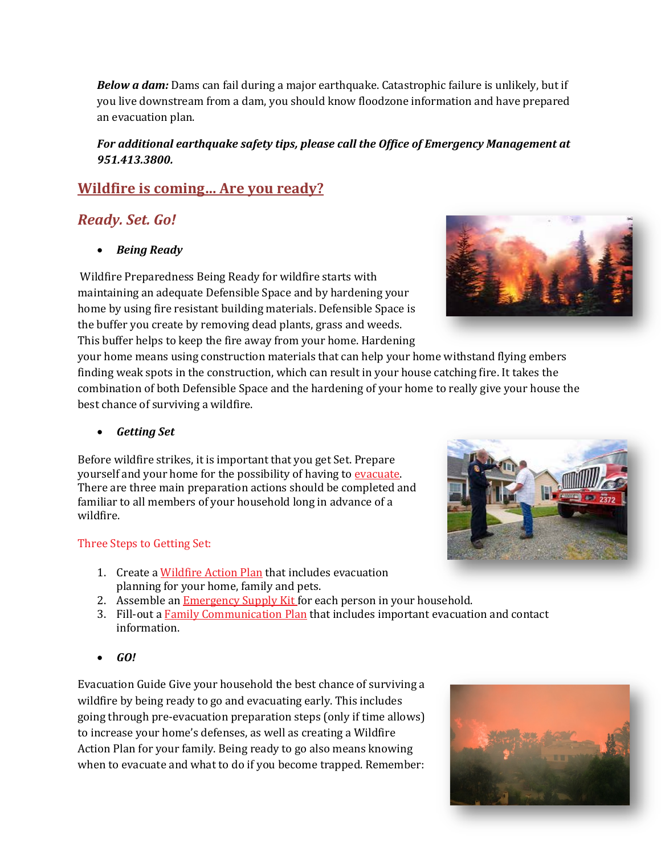*Below a dam:* Dams can fail during a major earthquake. Catastrophic failure is unlikely, but if you live downstream from a dam, you should know floodzone information and have prepared an evacuation plan.

### *For additional earthquake safety tips, please call the Office of Emergency Management at 951.413.3800.*

# **Wildfire is coming… Are you ready?**

# *Ready. Set. Go!*

• *Being Ready* 

Wildfire Preparedness Being Ready for wildfire starts with maintaining an adequate Defensible Space and by hardening your home by using fire resistant building materials. Defensible Space is the buffer you create by removing dead plants, grass and weeds. This buffer helps to keep the fire away from your home. Hardening

your home means using construction materials that can help your home withstand flying embers finding weak spots in the construction, which can result in your house catching fire. It takes the combination of both Defensible Space and the hardening of your home to really give your house the best chance of surviving a wildfire.

• *Getting Set*

Before wildfire strikes, it is important that you get Set. Prepare yourself and your home for the possibility of having to evacuate. There are three main preparation actions should be completed and familiar to all members of your household long in advance of a wildfire.

### Three Steps to Getting Set:

- 1. Create a [Wildfire](http://www.readyforwildfire.org/wildfire_action_plan) Action Plan that includes evacuation planning for your home, family and pets.
- 2. Assemble an **Emergency Supply Kit** for each person in your household.
- 3. Fill-out a Family [Communication](http://www.readyforwildfire.org/family_communication_plan) Plan that includes important evacuation and contact information.
- *GO!*

Evacuation Guide Give your household the best chance of surviving a wildfire by being ready to go and evacuating early. This includes going through pre-evacuation preparation steps (only if time allows) to increase your home's defenses, as well as creating a Wildfire Action Plan for your family. Being ready to go also means knowing when to evacuate and what to do if you become trapped. Remember: